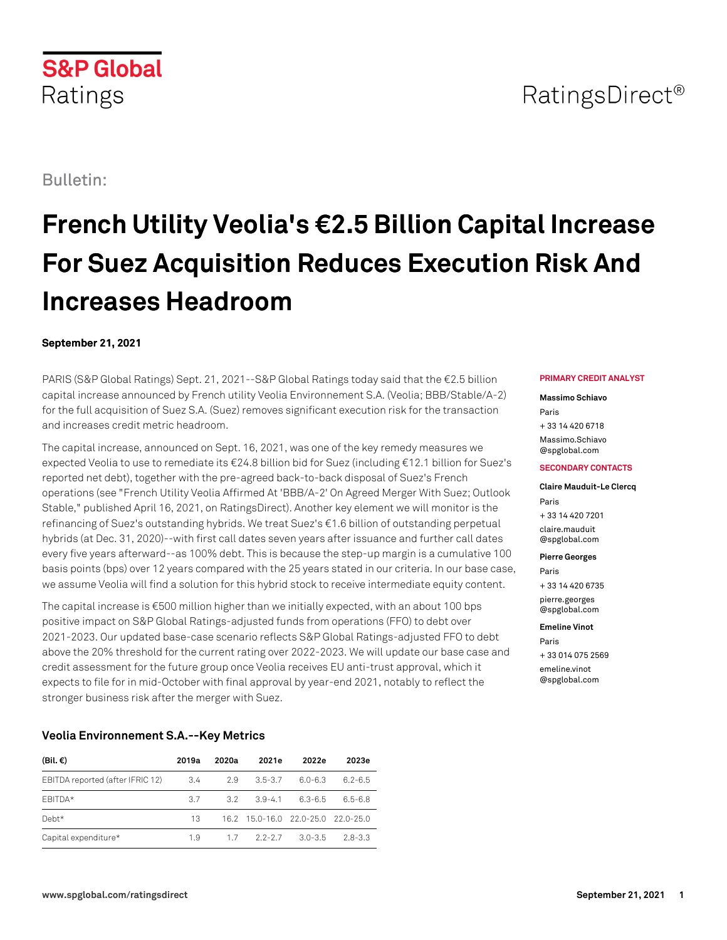# RatingsDirect<sup>®</sup>

## Bulletin:

Ratings

**S&P Global** 

## **French Utility Veolia's €2.5 Billion Capital Increase For Suez Acquisition Reduces Execution Risk And Increases Headroom**

## **September 21, 2021**

PARIS (S&P Global Ratings) Sept. 21, 2021--S&P Global Ratings today said that the €2.5 billion capital increase announced by French utility Veolia Environnement S.A. (Veolia; BBB/Stable/A-2) for the full acquisition of Suez S.A. (Suez) removes significant execution risk for the transaction and increases credit metric headroom.

The capital increase, announced on Sept. 16, 2021, was one of the key remedy measures we expected Veolia to use to remediate its €24.8 billion bid for Suez (including €12.1 billion for Suez's reported net debt), together with the pre-agreed back-to-back disposal of Suez's French operations (see "French Utility Veolia Affirmed At 'BBB/A-2' On Agreed Merger With Suez; Outlook Stable," published April 16, 2021, on RatingsDirect). Another key element we will monitor is the refinancing of Suez's outstanding hybrids. We treat Suez's €1.6 billion of outstanding perpetual hybrids (at Dec. 31, 2020)--with first call dates seven years after issuance and further call dates every five years afterward--as 100% debt. This is because the step-up margin is a cumulative 100 basis points (bps) over 12 years compared with the 25 years stated in our criteria. In our base case, we assume Veolia will find a solution for this hybrid stock to receive intermediate equity content.

The capital increase is €500 million higher than we initially expected, with an about 100 bps positive impact on S&P Global Ratings-adjusted funds from operations (FFO) to debt over 2021-2023. Our updated base-case scenario reflects S&P Global Ratings-adjusted FFO to debt above the 20% threshold for the current rating over 2022-2023. We will update our base case and credit assessment for the future group once Veolia receives EU anti-trust approval, which it expects to file for in mid-October with final approval by year-end 2021, notably to reflect the stronger business risk after the merger with Suez.

## **Veolia Environnement S.A.--Key Metrics**

| (Bil. €)                         | 2019a | 2020a | 2021e                 | 2022e                              | 2023e       |
|----------------------------------|-------|-------|-----------------------|------------------------------------|-------------|
| EBITDA reported (after IFRIC 12) | 3.4   | 2.9   | $3.5 - 3.7$           | $6.0 - 6.3$                        | $6.2 - 6.5$ |
| FBITDA*                          | 37    |       | $3.2 \quad 3.9 - 4.1$ | 6.3-6.5                            | $6.5 - 6.8$ |
| $Debt*$                          | 13    |       |                       | 16.2 15.0-16.0 22.0-25.0 22.0-25.0 |             |
| Capital expenditure*             | 19    |       | $1.7$ $2.2 - 2.7$     | $3.0 - 3.5$                        | $28-33$     |

#### **PRIMARY CREDIT ANALYST**

#### **Massimo Schiavo**

Paris + 33 14 420 6718 [Massimo.Schiavo](mailto: Massimo.Schiavo@spglobal.com) [@spglobal.com](mailto: Massimo.Schiavo@spglobal.com)

#### **SECONDARY CONTACTS**

**Claire Mauduit-Le Clercq** Paris + 33 14 420 7201 [claire.mauduit](mailto: claire.mauduit@spglobal.com) [@spglobal.com](mailto: claire.mauduit@spglobal.com)

**Pierre Georges**

Paris + 33 14 420 6735 [pierre.georges](mailto: pierre.georges@spglobal.com)

[@spglobal.com](mailto: pierre.georges@spglobal.com)

**Emeline Vinot** Paris

+ 33 014 075 2569 [emeline.vinot](mailto: emeline.vinot@spglobal.com) [@spglobal.com](mailto: emeline.vinot@spglobal.com)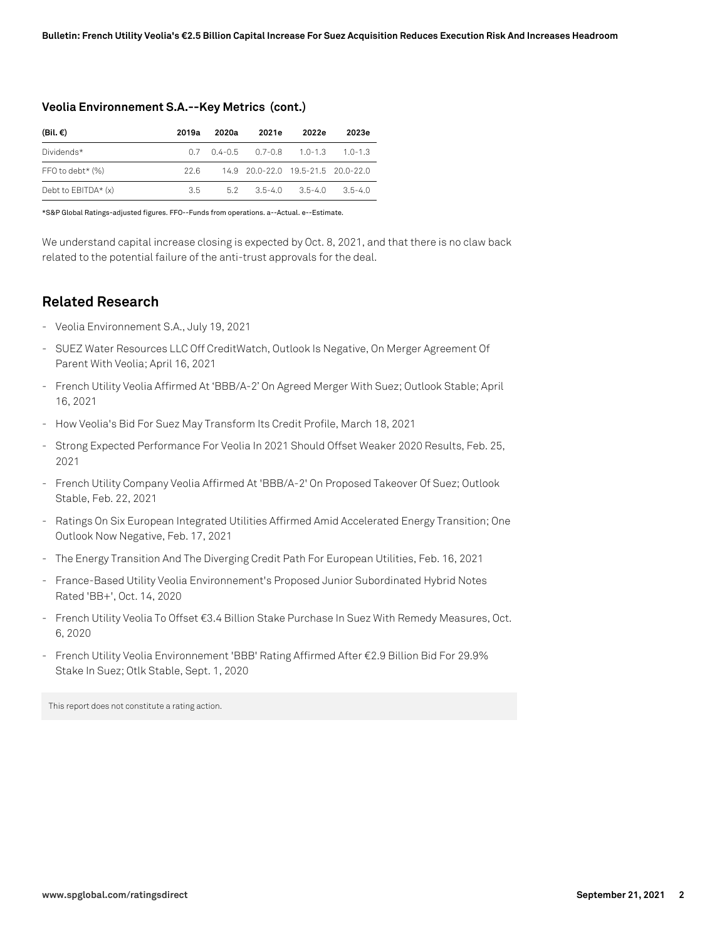| (Bil. €)              | 2019a | 2020a | 2021e                               | 2022e   | 2023e   |
|-----------------------|-------|-------|-------------------------------------|---------|---------|
| Dividends*            |       |       | $0.7$ $0.4-0.5$ $0.7-0.8$ $1.0-1.3$ |         | $10-13$ |
| FFO to debt* $(\%)$   | 22 B  |       | 14.9 20.0-22.0 19.5-21.5 20.0-22.0  |         |         |
| Debt to $EBITDA*$ (x) | 35.   |       | $5.2 \qquad 3.5 - 4.0$              | $35-40$ | $35-40$ |

### **Veolia Environnement S.A.--Key Metrics (cont.)**

\*S&P Global Ratings-adjusted figures. FFO--Funds from operations. a--Actual. e--Estimate.

We understand capital increase closing is expected by Oct. 8, 2021, and that there is no claw back related to the potential failure of the anti-trust approvals for the deal.

## **Related Research**

- Veolia Environnement S.A., July 19, 2021
- SUEZ Water Resources LLC Off CreditWatch, Outlook Is Negative, On Merger Agreement Of Parent With Veolia; April 16, 2021
- French Utility Veolia Affirmed At 'BBB/A-2' On Agreed Merger With Suez; Outlook Stable; April 16, 2021
- How Veolia's Bid For Suez May Transform Its Credit Profile, March 18, 2021
- Strong Expected Performance For Veolia In 2021 Should Offset Weaker 2020 Results, Feb. 25, 2021
- French Utility Company Veolia Affirmed At 'BBB/A-2' On Proposed Takeover Of Suez; Outlook Stable, Feb. 22, 2021
- Ratings On Six European Integrated Utilities Affirmed Amid Accelerated Energy Transition; One Outlook Now Negative, Feb. 17, 2021
- The Energy Transition And The Diverging Credit Path For European Utilities, Feb. 16, 2021
- France-Based Utility Veolia Environnement's Proposed Junior Subordinated Hybrid Notes Rated 'BB+', Oct. 14, 2020
- French Utility Veolia To Offset €3.4 Billion Stake Purchase In Suez With Remedy Measures, Oct. 6, 2020
- French Utility Veolia Environnement 'BBB' Rating Affirmed After €2.9 Billion Bid For 29.9% Stake In Suez; Otlk Stable, Sept. 1, 2020

This report does not constitute a rating action.